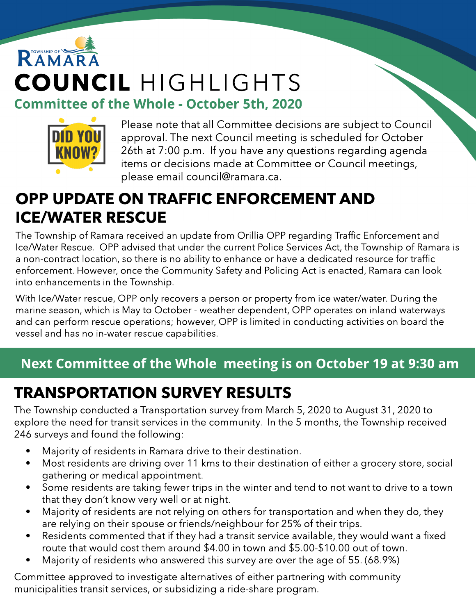# RAMAR COUNCIL HIGHLIGHTS **Committee of the Whole - October 5th, 2020**



Please note that all Committee decisions are subject to Council approval. The next Council meeting is scheduled for October 26th at 7:00 p.m. If you have any questions regarding agenda items or decisions made at Committee or Council meetings, please email council@ramara.ca.

#### OPP UPDATE ON TRAFFIC ENFORCEMENT AND ICE/WATER RESCUE

The Township of Ramara received an update from Orillia OPP regarding Traffic Enforcement and Ice/Water Rescue. OPP advised that under the current Police Services Act, the Township of Ramara is a non-contract location, so there is no ability to enhance or have a dedicated resource for traffic enforcement. However, once the Community Safety and Policing Act is enacted, Ramara can look into enhancements in the Township.

With Ice/Water rescue, OPP only recovers a person or property from ice water/water. During the marine season, which is May to October - weather dependent, OPP operates on inland waterways and can perform rescue operations; however, OPP is limited in conducting activities on board the vessel and has no in-water rescue capabilities.

#### Next Committee of the Whole meeting is on October 19 at 9:30 am

## TRANSPORTATION SURVEY RESULTS

The Township conducted a Transportation survey from March 5, 2020 to August 31, 2020 to explore the need for transit services in the community. In the 5 months, the Township received 246 surveys and found the following:

- Majority of residents in Ramara drive to their destination.
- Most residents are driving over 11 kms to their destination of either a grocery store, social gathering or medical appointment.
- Some residents are taking fewer trips in the winter and tend to not want to drive to a town that they don't know very well or at night.
- Majority of residents are not relying on others for transportation and when they do, they are relying on their spouse or friends/neighbour for 25% of their trips.
- Residents commented that if they had a transit service available, they would want a fixed route that would cost them around \$4.00 in town and \$5.00-\$10.00 out of town.
- Majority of residents who answered this survey are over the age of 55. (68.9%)

Committee approved to investigate alternatives of either partnering with community municipalities transit services, or subsidizing a ride-share program.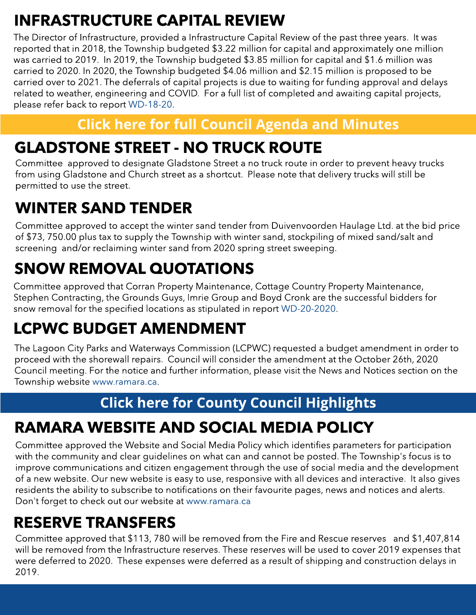## INFRASTRUCTURE CAPITAL REVIEW

The Director of Infrastructure, provided a Infrastructure Capital Review of the past three years. It was reported that in 2018, the Township budgeted \$3.22 million for capital and approximately one million was carried to 2019. In 2019, the Township budgeted \$3.85 million for capital and \$1.6 million was carried to 2020. In 2020, the Township budgeted \$4.06 million and \$2.15 million is proposed to be carried over to 2021. The deferrals of capital projects is due to waiting for funding approval and delays related to weather, engineering and COVID. For a full list of completed and awaiting capital projects, please refer back to report [WD-18-20](https://ramara.civicweb.net/document/38690/Infrastructure%20Capital%20Review%20(update%20to%202020%20p.pdf?handle=5311A168608345DB98F80A7AD3F71B4C).

#### **[Click](https://ramara.civicweb.net/portal/) [here](https://ramara.civicweb.net/portal/) [for](https://ramara.civicweb.net/portal/) [full](https://ramara.civicweb.net/portal/) [Council](https://ramara.civicweb.net/portal/) [Agenda](https://ramara.civicweb.net/portal/) [and](https://ramara.civicweb.net/portal/) [Minut](https://ramara.civicweb.net/portal/)es**

#### GLADSTONE STREET - NO TRUCK ROUTE

Committee approved to designate Gladstone Street a no truck route in order to prevent heavy trucks from using Gladstone and Church street as a shortcut. Please note that delivery trucks will still be permitted to use the street.

#### WINTER SAND TENDER

Committee approved to accept the winter sand tender from Duivenvoorden Haulage Ltd. at the bid price of \$73, 750.00 plus tax to supply the Township with winter sand, stockpiling of mixed sand/salt and screening and/or reclaiming winter sand from 2020 spring street sweeping.

## SNOW REMOVAL QUOTATIONS

Committee approved that Corran Property Maintenance, Cottage Country Property Maintenance, Stephen Contracting, the Grounds Guys, Imrie Group and Boyd Cronk are the successful bidders for snow removal for the specified locations as stipulated in report [WD-20-2020.](https://ramara.civicweb.net/document/38727/Snow%20Removal%20Quotations%202020_2021.pdf?handle=A24C7470335242769D038C9A22BF542A)

## LCPWC BUDGET AMENDMENT

The Lagoon City Parks and Waterways Commission (LCPWC) requested a budget amendment in order to proceed with the shorewall repairs. Council will consider the amendment at the October 26th, 2020 Council meeting. For the notice and further information, please visit the News and Notices section on the Township website [www.ramara.ca](http://www.ramara.ca).

#### **[Click](https://ramara.civicweb.net/portal/) [here](https://ramara.civicweb.net/portal/) [for](https://ramara.civicweb.net/portal/) [Count](https://www.simcoe.ca/dpt/ccd/newsletters)y [Council](https://www.simcoe.ca/dpt/ccd/newsletters) [Highlight](https://www.simcoe.ca/dpt/ccd/newsletters)s**

## RAMARA WEBSITE AND SOCIAL MEDIA POLICY

Committee approved the Website and Social Media Policy which identifies parameters for participation with the community and clear guidelines on what can and cannot be posted. The Township's focus is to improve communications and citizen engagement through the use of social media and the development of a new website. Our new website is easy to use, responsive with all devices and interactive. It also gives residents the ability to subscribe to notifications on their favourite pages, news and notices and alerts. Don't forget to check out our website at [www.ramara.ca](http://www.ramara.ca)

#### RESERVE TRANSFERS

Committee approved that \$113, 780 will be removed from the Fire and Rescue reserves and \$1,407,814 will be removed from the Infrastructure reserves. These reserves will be used to cover 2019 expenses that were deferred to 2020. These expenses were deferred as a result of shipping and construction delays in 2019.